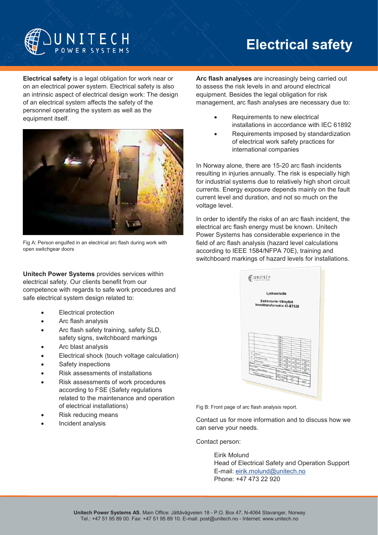

# **Electrical safety**

**Electrical safety** is a legal obligation for work near or on an electrical power system. Electrical safety is also an intrinsic aspect of electrical design work: The design of an electrical system affects the safety of the personnel operating the system as well as the equipment itself.



Fig A: Person engulfed in an electrical arc flash during work with open switchgear doors

**Unitech Power Systems** provides services within electrical safety. Our clients benefit from our competence with regards to safe work procedures and safe electrical system design related to:

- Electrical protection
- Arc flash analysis
- Arc flash safety training, safety SLD, safety signs, switchboard markings
- Arc blast analysis
- Electrical shock (touch voltage calculation)
- Safety inspections
- Risk assessments of installations
- Risk assessments of work procedures according to FSE (Safety regulations related to the maintenance and operation of electrical installations)
- Risk reducing means
- Incident analysis

**Arc flash analyses** are increasingly being carried out to assess the risk levels in and around electrical equipment. Besides the legal obligation for risk management, arc flash analyses are necessary due to:

- Requirements to new electrical installations in accordance with IEC 61892
- Requirements imposed by standardization of electrical work safety practices for international companies

In Norway alone, there are 15-20 arc flash incidents resulting in injuries annually. The risk is especially high for industrial systems due to relatively high short circuit currents. Energy exposure depends mainly on the fault current level and duration, and not so much on the voltage level.

In order to identify the risks of an arc flash incident, the electrical arc flash energy must be known. Unitech Power Systems has considerable experience in the field of arc flash analysis (hazard level calculations according to IEEE 1584/NFPA 70E), training and switchboard markings of hazard levels for installations.

| Elektrotavler tilknyttet<br>hovedtransformator 43-ET528<br>Date<br>is.<br>Date:<br>h.<br><b>Date</b><br>宗<br><b>Corp.</b><br>运<br>端<br>The unit<br>s<br>à,<br>2015-03-25<br><b><i><u>Entrepreneur Wall</u></i></b><br>脳<br>2015-02-25<br>EM<br>2015-03-25<br>Data<br>W<br><b><i><u>Estimated</u></i></b><br>2015-02-30<br>脑<br>裕<br>石石石<br>ïω<br>2010-02-20<br>bin.<br>'n<br>2015-02-18<br>Бñ<br>õ6<br>石油船員<br>裕<br><b>Ritary</b><br>2015-02-18<br>铀<br>Progress<br><b>UPS 251000 AV</b><br>ᠼ<br><b>Charles</b><br><b>Ant Tale</b><br>Clear reference<br><b>Release</b><br>Lyanmaindia - Elektrolaries Manyllet<br><b><i><u>Announcement Office</u></i></b><br>P.O. no. EL22500183<br><b>Life Project No.</b> |  |  |  |  |  |  |  | ti, |   |  |  |              |  |  |  |    |  |
|---------------------------------------------------------------------------------------------------------------------------------------------------------------------------------------------------------------------------------------------------------------------------------------------------------------------------------------------------------------------------------------------------------------------------------------------------------------------------------------------------------------------------------------------------------------------------------------------------------------------------------------------------------------------------------------------------------------|--|--|--|--|--|--|--|-----|---|--|--|--------------|--|--|--|----|--|
|                                                                                                                                                                                                                                                                                                                                                                                                                                                                                                                                                                                                                                                                                                               |  |  |  |  |  |  |  |     |   |  |  |              |  |  |  |    |  |
|                                                                                                                                                                                                                                                                                                                                                                                                                                                                                                                                                                                                                                                                                                               |  |  |  |  |  |  |  |     |   |  |  |              |  |  |  |    |  |
|                                                                                                                                                                                                                                                                                                                                                                                                                                                                                                                                                                                                                                                                                                               |  |  |  |  |  |  |  |     |   |  |  |              |  |  |  |    |  |
|                                                                                                                                                                                                                                                                                                                                                                                                                                                                                                                                                                                                                                                                                                               |  |  |  |  |  |  |  |     |   |  |  |              |  |  |  |    |  |
|                                                                                                                                                                                                                                                                                                                                                                                                                                                                                                                                                                                                                                                                                                               |  |  |  |  |  |  |  |     |   |  |  |              |  |  |  |    |  |
|                                                                                                                                                                                                                                                                                                                                                                                                                                                                                                                                                                                                                                                                                                               |  |  |  |  |  |  |  |     |   |  |  |              |  |  |  |    |  |
|                                                                                                                                                                                                                                                                                                                                                                                                                                                                                                                                                                                                                                                                                                               |  |  |  |  |  |  |  |     |   |  |  |              |  |  |  |    |  |
|                                                                                                                                                                                                                                                                                                                                                                                                                                                                                                                                                                                                                                                                                                               |  |  |  |  |  |  |  |     |   |  |  |              |  |  |  |    |  |
|                                                                                                                                                                                                                                                                                                                                                                                                                                                                                                                                                                                                                                                                                                               |  |  |  |  |  |  |  |     |   |  |  |              |  |  |  |    |  |
|                                                                                                                                                                                                                                                                                                                                                                                                                                                                                                                                                                                                                                                                                                               |  |  |  |  |  |  |  |     |   |  |  |              |  |  |  |    |  |
|                                                                                                                                                                                                                                                                                                                                                                                                                                                                                                                                                                                                                                                                                                               |  |  |  |  |  |  |  |     |   |  |  | $\mathbf{u}$ |  |  |  |    |  |
|                                                                                                                                                                                                                                                                                                                                                                                                                                                                                                                                                                                                                                                                                                               |  |  |  |  |  |  |  |     |   |  |  |              |  |  |  |    |  |
|                                                                                                                                                                                                                                                                                                                                                                                                                                                                                                                                                                                                                                                                                                               |  |  |  |  |  |  |  |     |   |  |  |              |  |  |  |    |  |
|                                                                                                                                                                                                                                                                                                                                                                                                                                                                                                                                                                                                                                                                                                               |  |  |  |  |  |  |  |     | × |  |  |              |  |  |  |    |  |
|                                                                                                                                                                                                                                                                                                                                                                                                                                                                                                                                                                                                                                                                                                               |  |  |  |  |  |  |  |     |   |  |  |              |  |  |  | b. |  |
|                                                                                                                                                                                                                                                                                                                                                                                                                                                                                                                                                                                                                                                                                                               |  |  |  |  |  |  |  |     |   |  |  |              |  |  |  |    |  |
|                                                                                                                                                                                                                                                                                                                                                                                                                                                                                                                                                                                                                                                                                                               |  |  |  |  |  |  |  |     |   |  |  |              |  |  |  |    |  |
|                                                                                                                                                                                                                                                                                                                                                                                                                                                                                                                                                                                                                                                                                                               |  |  |  |  |  |  |  |     |   |  |  |              |  |  |  |    |  |
| $n_{\rm H_2}$<br>2010au                                                                                                                                                                                                                                                                                                                                                                                                                                                                                                                                                                                                                                                                                       |  |  |  |  |  |  |  |     |   |  |  |              |  |  |  |    |  |
|                                                                                                                                                                                                                                                                                                                                                                                                                                                                                                                                                                                                                                                                                                               |  |  |  |  |  |  |  |     |   |  |  |              |  |  |  |    |  |
|                                                                                                                                                                                                                                                                                                                                                                                                                                                                                                                                                                                                                                                                                                               |  |  |  |  |  |  |  |     |   |  |  |              |  |  |  |    |  |
|                                                                                                                                                                                                                                                                                                                                                                                                                                                                                                                                                                                                                                                                                                               |  |  |  |  |  |  |  |     |   |  |  |              |  |  |  |    |  |
|                                                                                                                                                                                                                                                                                                                                                                                                                                                                                                                                                                                                                                                                                                               |  |  |  |  |  |  |  |     |   |  |  |              |  |  |  |    |  |

Fig B: Front page of arc flash analysis report.

Contact us for more information and to discuss how we can serve your needs.

Contact person:

Eirik Molund Head of Electrical Safety and Operation Support E-mail: [eirik.molund@unitech.no](mailto:eirik.molund@unitech.no) Phone: +47 473 22 920